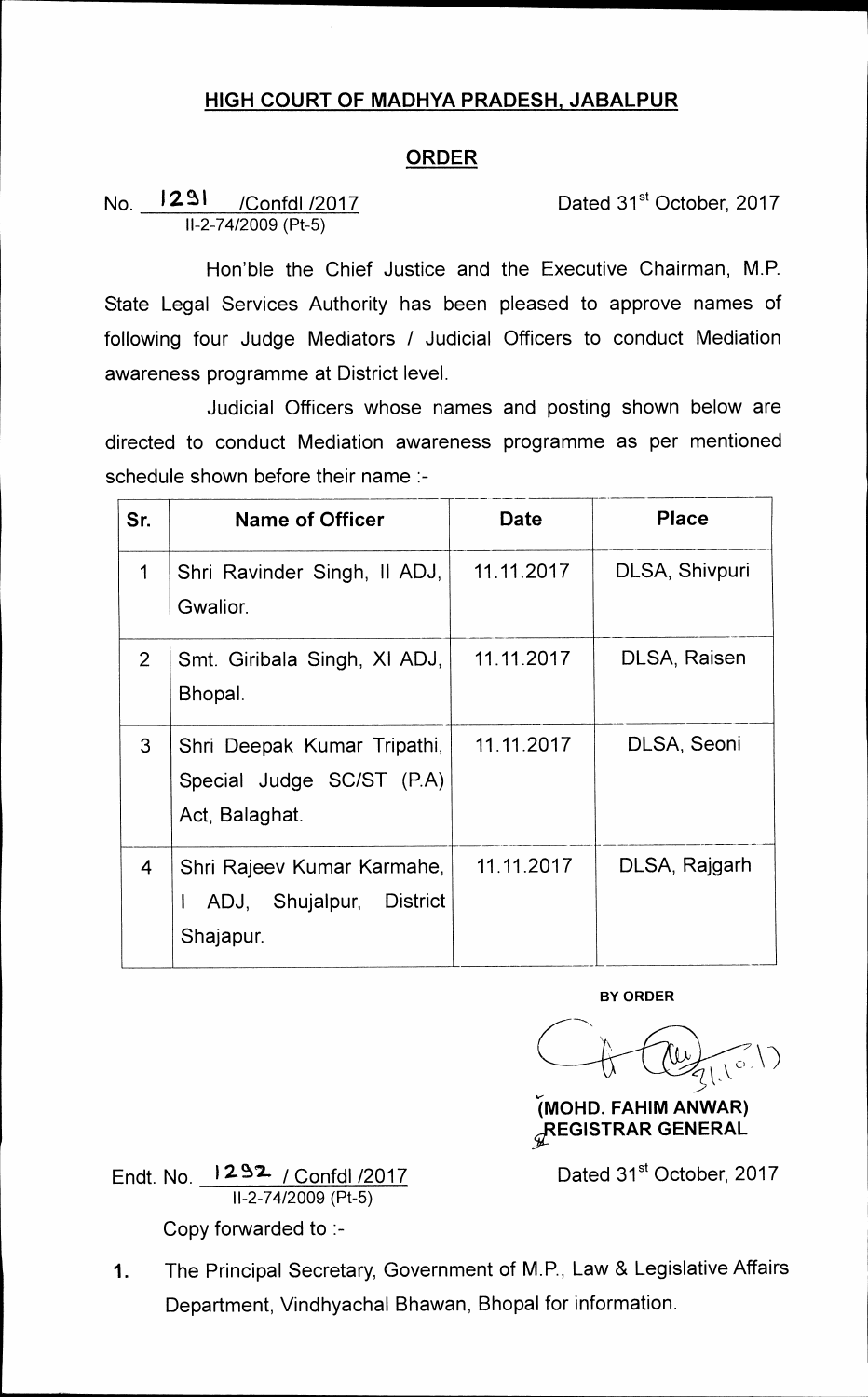## **HIGH COURT OF MADHYA PRADESH, JABALPUR**

## **ORDER**

No. **1291** /Confdl /2017 Dated 31<sup>st</sup> October, 2017 **11-2-74/2009 (Pt-5)** 

**Hon'ble the Chief Justice and the Executive Chairman, M.P. State Legal Services Authority has been pleased to approve names of following four Judge Mediators / Judicial Officers to conduct Mediation awareness programme at District level.** 

**Judicial Officers whose names and posting shown below are directed to conduct Mediation awareness programme as per mentioned schedule shown before their name :-** 

| Sr.            | <b>Name of Officer</b>                                                     | Date       | <b>Place</b>   |
|----------------|----------------------------------------------------------------------------|------------|----------------|
| 1              | Shri Ravinder Singh, Il ADJ,<br>Gwalior.                                   | 11.11.2017 | DLSA, Shivpuri |
| $\overline{2}$ | Smt. Giribala Singh, XI ADJ,<br>Bhopal.                                    | 11.11.2017 | DLSA, Raisen   |
| 3              | Shri Deepak Kumar Tripathi,<br>Special Judge SC/ST (P.A)<br>Act, Balaghat. | 11.11.2017 | DLSA, Seoni    |
| $\overline{4}$ | Shri Rajeev Kumar Karmahe,<br>District<br>ADJ, Shujalpur,<br>Shajapur.     | 11.11.2017 | DLSA, Rajgarh  |

**BY ORDER** 

 $212$  $C_{\hbar}$ 

**(MOHD. FAHIM ANWAR) sLREGISTRAR GENERAL** 

**Endt. No. 12-B7- / Confdl /2017 11-2-74/2009 (Pt-5) Copy forwarded to :-** 

Dated 31<sup>st</sup> October, 2017

**1. The Principal Secretary, Government of M.P., Law & Legislative Affairs Department, Vindhyachal Bhawan, Bhopal for information.**